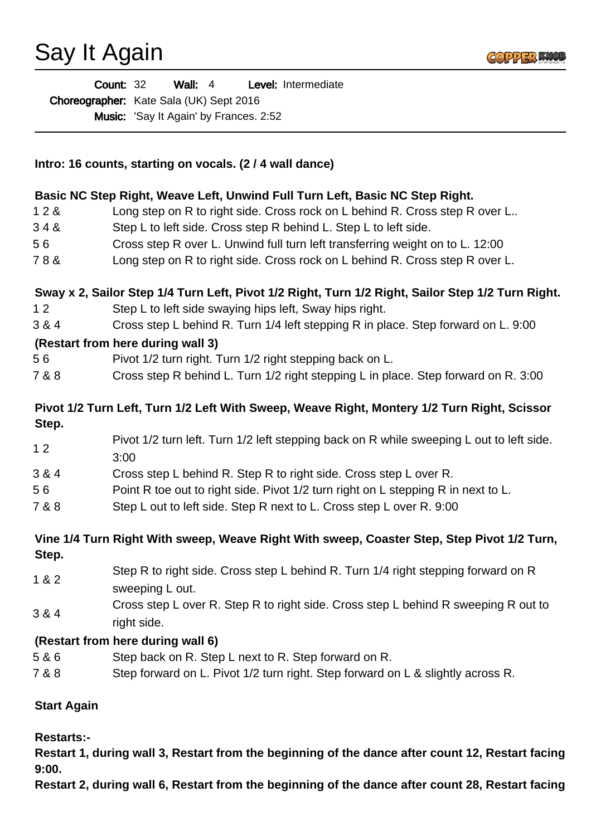## Say It Again



| <b>Count: 32</b> |                                         | Wall: $4$ |  |                                               | <b>Level:</b> Intermediate |
|------------------|-----------------------------------------|-----------|--|-----------------------------------------------|----------------------------|
|                  | Choreographer: Kate Sala (UK) Sept 2016 |           |  |                                               |                            |
|                  |                                         |           |  | <b>Music:</b> 'Say It Again' by Frances. 2:52 |                            |

| Intro: 16 counts, starting on vocals. (2/4 wall dance) |                                                                                                   |  |  |  |  |
|--------------------------------------------------------|---------------------------------------------------------------------------------------------------|--|--|--|--|
|                                                        | Basic NC Step Right, Weave Left, Unwind Full Turn Left, Basic NC Step Right.                      |  |  |  |  |
| 128                                                    | Long step on R to right side. Cross rock on L behind R. Cross step R over L                       |  |  |  |  |
| 348                                                    | Step L to left side. Cross step R behind L. Step L to left side.                                  |  |  |  |  |
| 56                                                     | Cross step R over L. Unwind full turn left transferring weight on to L. 12:00                     |  |  |  |  |
| 78&                                                    | Long step on R to right side. Cross rock on L behind R. Cross step R over L.                      |  |  |  |  |
|                                                        | Sway x 2, Sailor Step 1/4 Turn Left, Pivot 1/2 Right, Turn 1/2 Right, Sailor Step 1/2 Turn Right. |  |  |  |  |
| 12                                                     | Step L to left side swaying hips left, Sway hips right.                                           |  |  |  |  |
| 3 & 4                                                  | Cross step L behind R. Turn 1/4 left stepping R in place. Step forward on L. 9:00                 |  |  |  |  |
|                                                        | (Restart from here during wall 3)                                                                 |  |  |  |  |
| 56                                                     | Pivot 1/2 turn right. Turn 1/2 right stepping back on L.                                          |  |  |  |  |
| 7 & 8                                                  | Cross step R behind L. Turn 1/2 right stepping L in place. Step forward on R. 3:00                |  |  |  |  |
|                                                        | Pivot 1/2 Turn Left, Turn 1/2 Left With Sweep, Weave Right, Montery 1/2 Turn Right, Scissor       |  |  |  |  |
| Step.                                                  |                                                                                                   |  |  |  |  |
| 12                                                     | Pivot 1/2 turn left. Turn 1/2 left stepping back on R while sweeping L out to left side.<br>3:00  |  |  |  |  |
| 3 & 4                                                  | Cross step L behind R. Step R to right side. Cross step L over R.                                 |  |  |  |  |
| 56                                                     | Point R toe out to right side. Pivot 1/2 turn right on L stepping R in next to L.                 |  |  |  |  |
| 7 & 8                                                  | Step L out to left side. Step R next to L. Cross step L over R. 9:00                              |  |  |  |  |
|                                                        | Vine 1/4 Turn Right With sweep, Weave Right With sweep, Coaster Step, Step Pivot 1/2 Turn,        |  |  |  |  |
| Step.                                                  |                                                                                                   |  |  |  |  |
| 1 & 2                                                  | Step R to right side. Cross step L behind R. Turn 1/4 right stepping forward on R                 |  |  |  |  |
|                                                        | sweeping L out.                                                                                   |  |  |  |  |
| 3 & 4                                                  | Cross step L over R. Step R to right side. Cross step L behind R sweeping R out to                |  |  |  |  |
|                                                        | right side.                                                                                       |  |  |  |  |
|                                                        | (Restart from here during wall 6)                                                                 |  |  |  |  |
| 5 & 6                                                  | Step back on R. Step L next to R. Step forward on R.                                              |  |  |  |  |
| 7 & 8                                                  | Step forward on L. Pivot 1/2 turn right. Step forward on L & slightly across R.                   |  |  |  |  |
|                                                        |                                                                                                   |  |  |  |  |

**Start Again**

**Restarts:-** 

**Restart 1, during wall 3, Restart from the beginning of the dance after count 12, Restart facing 9:00.**

**Restart 2, during wall 6, Restart from the beginning of the dance after count 28, Restart facing**